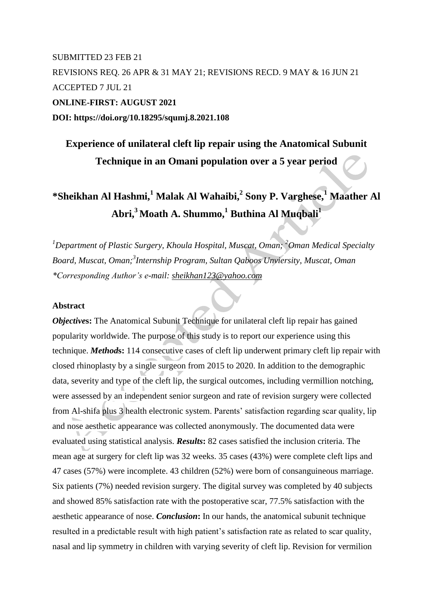## SUBMITTED 23 FEB 21 REVISIONS REQ. 26 APR & 31 MAY 21; REVISIONS RECD. 9 MAY & 16 JUN 21 ACCEPTED 7 JUL 21 **ONLINE-FIRST: AUGUST 2021 DOI: https://doi.org/10.18295/squmj.8.2021.108**

## **Experience of unilateral cleft lip repair using the Anatomical Subunit Technique in an Omani population over a 5 year period**

# **\*Sheikhan Al Hashmi,<sup>1</sup> Malak Al Wahaibi,<sup>2</sup> Sony P. Varghese,<sup>1</sup> Maather Al Abri,<sup>3</sup> Moath A. Shummo,<sup>1</sup> Buthina Al Muqbali<sup>1</sup>**

*<sup>1</sup>Department of Plastic Surgery, Khoula Hospital, Muscat, Oman; <sup>2</sup>Oman Medical Specialty Board, Muscat, Oman; 3 Internship Program, Sultan Qaboos Unviersity, Muscat, Oman \*Corresponding Author's e-mail: [sheikhan123@yahoo.com](mailto:sheikhan123@yahoo.com)*

## **Abstract**

*Objectives*: The Anatomical Subunit Technique for unilateral cleft lip repair has gained popularity worldwide. The purpose of this study is to report our experience using this technique. *Method***s:** 114 consecutive cases of cleft lip underwent primary cleft lip repair with closed rhinoplasty by a single surgeon from 2015 to 2020. In addition to the demographic data, severity and type of the cleft lip, the surgical outcomes, including vermillion notching, were assessed by an independent senior surgeon and rate of revision surgery were collected from Al-shifa plus 3 health electronic system. Parents' satisfaction regarding scar quality, lip and nose aesthetic appearance was collected anonymously. The documented data were evaluated using statistical analysis. *Results***:** 82 cases satisfied the inclusion criteria. The mean age at surgery for cleft lip was 32 weeks. 35 cases (43%) were complete cleft lips and 47 cases (57%) were incomplete. 43 children (52%) were born of consanguineous marriage. Six patients (7%) needed revision surgery. The digital survey was completed by 40 subjects and showed 85% satisfaction rate with the postoperative scar, 77.5% satisfaction with the aesthetic appearance of nose. *Conclusion***:** In our hands, the anatomical subunit technique resulted in a predictable result with high patient's satisfaction rate as related to scar quality, nasal and lip symmetry in children with varying severity of cleft lip. Revision for vermilion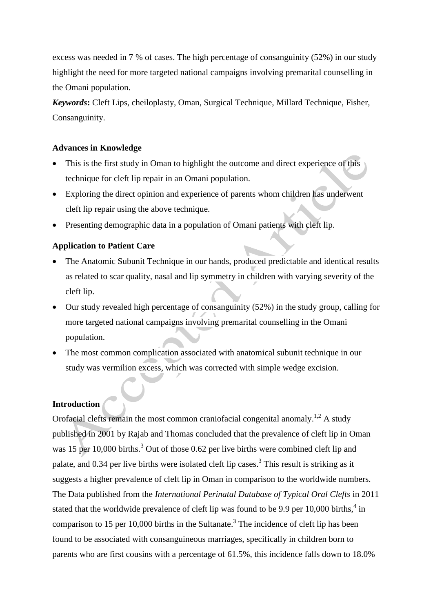excess was needed in 7 % of cases. The high percentage of consanguinity (52%) in our study highlight the need for more targeted national campaigns involving premarital counselling in the Omani population.

*Keywords***:** Cleft Lips, cheiloplasty, Oman, Surgical Technique, Millard Technique, Fisher, Consanguinity.

## **Advances in Knowledge**

- This is the first study in Oman to highlight the outcome and direct experience of this technique for cleft lip repair in an Omani population.
- Exploring the direct opinion and experience of parents whom children has underwent cleft lip repair using the above technique.
- Presenting demographic data in a population of Omani patients with cleft lip.

## **Application to Patient Care**

- The Anatomic Subunit Technique in our hands, produced predictable and identical results as related to scar quality, nasal and lip symmetry in children with varying severity of the cleft lip.
- Our study revealed high percentage of consanguinity (52%) in the study group, calling for more targeted national campaigns involving premarital counselling in the Omani population.
- The most common complication associated with anatomical subunit technique in our study was vermilion excess, which was corrected with simple wedge excision.

## **Introduction**

Orofacial clefts remain the most common craniofacial congenital anomaly.<sup>1,2</sup> A study published in 2001 by Rajab and Thomas concluded that the prevalence of cleft lip in Oman was 15 per 10,000 births.<sup>3</sup> Out of those 0.62 per live births were combined cleft lip and palate, and 0.34 per live births were isolated cleft lip cases.<sup>3</sup> This result is striking as it suggests a higher prevalence of cleft lip in Oman in comparison to the worldwide numbers. The Data published from the *International Perinatal Database of Typical Oral Clefts* in 2011 stated that the worldwide prevalence of cleft lip was found to be 9.9 per 10,000 births,<sup>4</sup> in comparison to 15 per 10,000 births in the Sultanate.<sup>3</sup> The incidence of cleft lip has been found to be associated with consanguineous marriages, specifically in children born to parents who are first cousins with a percentage of 61.5%, this incidence falls down to 18.0%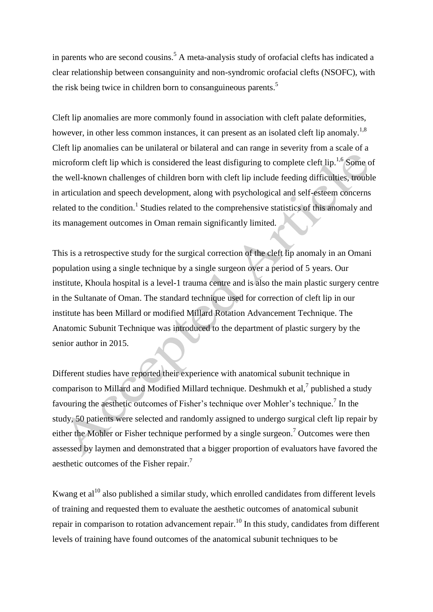in parents who are second cousins.<sup>5</sup> A meta-analysis study of orofacial clefts has indicated a clear relationship between consanguinity and non-syndromic orofacial clefts (NSOFC), with the risk being twice in children born to consanguineous parents.<sup>5</sup>

Cleft lip anomalies are more commonly found in association with cleft palate deformities, however, in other less common instances, it can present as an isolated cleft lip anomaly.<sup>1,8</sup> Cleft lip anomalies can be unilateral or bilateral and can range in severity from a scale of a microform cleft lip which is considered the least disfiguring to complete cleft lip.<sup>1,6</sup> Some of the well-known challenges of children born with cleft lip include feeding difficulties, trouble in articulation and speech development, along with psychological and self-esteem concerns related to the condition.<sup>1</sup> Studies related to the comprehensive statistics of this anomaly and its management outcomes in Oman remain significantly limited.

This is a retrospective study for the surgical correction of the cleft lip anomaly in an Omani population using a single technique by a single surgeon over a period of 5 years. Our institute, Khoula hospital is a level-1 trauma centre and is also the main plastic surgery centre in the Sultanate of Oman. The standard technique used for correction of cleft lip in our institute has been Millard or modified Millard Rotation Advancement Technique. The Anatomic Subunit Technique was introduced to the department of plastic surgery by the senior author in 2015.

Different studies have reported their experience with anatomical subunit technique in comparison to Millard and Modified Millard technique. Deshmukh et al, $^7$  published a study favouring the aesthetic outcomes of Fisher's technique over Mohler's technique.<sup>7</sup> In the study, 50 patients were selected and randomly assigned to undergo surgical cleft lip repair by either the Mohler or Fisher technique performed by a single surgeon.<sup>7</sup> Outcomes were then assessed by laymen and demonstrated that a bigger proportion of evaluators have favored the aesthetic outcomes of the Fisher repair.<sup>7</sup>

Kwang et  $al^{10}$  also published a similar study, which enrolled candidates from different levels of training and requested them to evaluate the aesthetic outcomes of anatomical subunit repair in comparison to rotation advancement repair.<sup>10</sup> In this study, candidates from different levels of training have found outcomes of the anatomical subunit techniques to be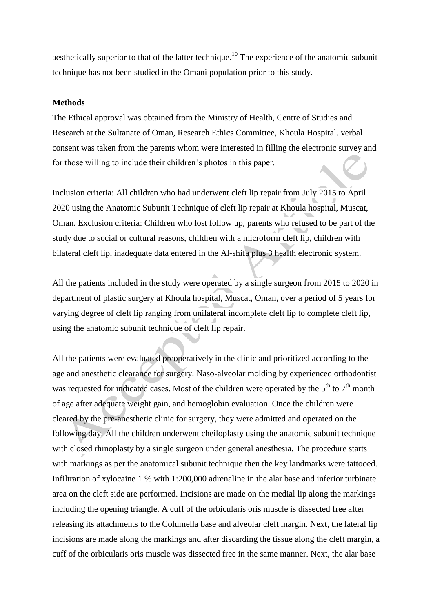aesthetically superior to that of the latter technique.<sup>10</sup> The experience of the anatomic subunit technique has not been studied in the Omani population prior to this study.

### **Methods**

The Ethical approval was obtained from the Ministry of Health, Centre of Studies and Research at the Sultanate of Oman, Research Ethics Committee, Khoula Hospital. verbal consent was taken from the parents whom were interested in filling the electronic survey and for those willing to include their children's photos in this paper.

Inclusion criteria: All children who had underwent cleft lip repair from July 2015 to April 2020 using the Anatomic Subunit Technique of cleft lip repair at Khoula hospital, Muscat, Oman. Exclusion criteria: Children who lost follow up, parents who refused to be part of the study due to social or cultural reasons, children with a microform cleft lip, children with bilateral cleft lip, inadequate data entered in the Al-shifa plus 3 health electronic system.

All the patients included in the study were operated by a single surgeon from 2015 to 2020 in department of plastic surgery at Khoula hospital, Muscat, Oman, over a period of 5 years for varying degree of cleft lip ranging from unilateral incomplete cleft lip to complete cleft lip, using the anatomic subunit technique of cleft lip repair.

All the patients were evaluated preoperatively in the clinic and prioritized according to the age and anesthetic clearance for surgery. Naso-alveolar molding by experienced orthodontist was requested for indicated cases. Most of the children were operated by the  $5<sup>th</sup>$  to  $7<sup>th</sup>$  month of age after adequate weight gain, and hemoglobin evaluation. Once the children were cleared by the pre-anesthetic clinic for surgery, they were admitted and operated on the following day. All the children underwent cheiloplasty using the anatomic subunit technique with closed rhinoplasty by a single surgeon under general anesthesia. The procedure starts with markings as per the anatomical subunit technique then the key landmarks were tattooed. Infiltration of xylocaine 1 % with 1:200,000 adrenaline in the alar base and inferior turbinate area on the cleft side are performed. Incisions are made on the medial lip along the markings including the opening triangle. A cuff of the orbicularis oris muscle is dissected free after releasing its attachments to the Columella base and alveolar cleft margin. Next, the lateral lip incisions are made along the markings and after discarding the tissue along the cleft margin, a cuff of the orbicularis oris muscle was dissected free in the same manner. Next, the alar base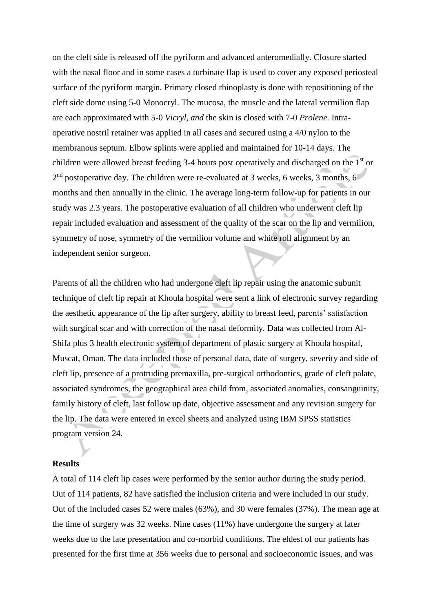on the cleft side is released off the pyriform and advanced anteromedially. Closure started with the nasal floor and in some cases a turbinate flap is used to cover any exposed periosteal surface of the pyriform margin. Primary closed rhinoplasty is done with repositioning of the cleft side dome using 5-0 Monocryl. The mucosa, the muscle and the lateral vermilion flap are each approximated with 5-0 *Vicryl, and* the skin is closed with 7-0 *Prolene*. Intraoperative nostril retainer was applied in all cases and secured using a 4/0 nylon to the membranous septum. Elbow splints were applied and maintained for 10-14 days. The children were allowed breast feeding 3-4 hours post operatively and discharged on the  $1<sup>st</sup>$  or  $2<sup>nd</sup>$  postoperative day. The children were re-evaluated at 3 weeks, 6 weeks, 3 months, 6 months and then annually in the clinic. The average long-term follow-up for patients in our study was 2.3 years. The postoperative evaluation of all children who underwent cleft lip repair included evaluation and assessment of the quality of the scar on the lip and vermilion, symmetry of nose, symmetry of the vermilion volume and white roll alignment by an independent senior surgeon.

Parents of all the children who had undergone cleft lip repair using the anatomic subunit technique of cleft lip repair at Khoula hospital were sent a link of electronic survey regarding the aesthetic appearance of the lip after surgery, ability to breast feed, parents' satisfaction with surgical scar and with correction of the nasal deformity. Data was collected from Al-Shifa plus 3 health electronic system of department of plastic surgery at Khoula hospital, Muscat, Oman. The data included those of personal data, date of surgery, severity and side of cleft lip, presence of a protruding premaxilla, pre-surgical orthodontics, grade of cleft palate, associated syndromes, the geographical area child from, associated anomalies, consanguinity, family history of cleft, last follow up date, objective assessment and any revision surgery for the lip. The data were entered in excel sheets and analyzed using IBM SPSS statistics program version 24.

#### **Results**

A total of 114 cleft lip cases were performed by the senior author during the study period. Out of 114 patients, 82 have satisfied the inclusion criteria and were included in our study. Out of the included cases 52 were males (63%), and 30 were females (37%). The mean age at the time of surgery was 32 weeks. Nine cases (11%) have undergone the surgery at later weeks due to the late presentation and co-morbid conditions. The eldest of our patients has presented for the first time at 356 weeks due to personal and socioeconomic issues, and was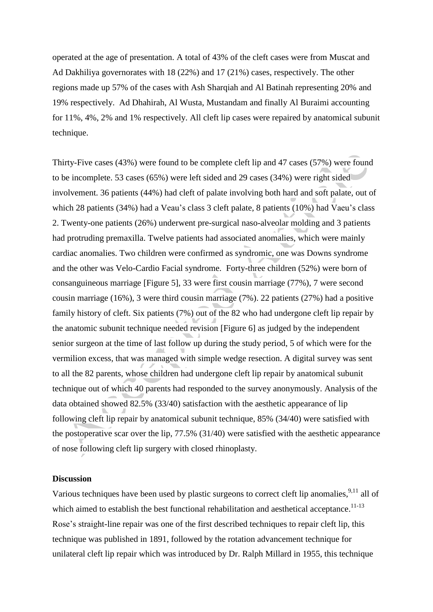operated at the age of presentation. A total of 43% of the cleft cases were from Muscat and Ad Dakhiliya governorates with 18 (22%) and 17 (21%) cases, respectively. The other regions made up 57% of the cases with Ash Sharqiah and Al Batinah representing 20% and 19% respectively. Ad Dhahirah, Al Wusta, Mustandam and finally Al Buraimi accounting for 11%, 4%, 2% and 1% respectively. All cleft lip cases were repaired by anatomical subunit technique.

Thirty-Five cases (43%) were found to be complete cleft lip and 47 cases (57%) were found to be incomplete. 53 cases (65%) were left sided and 29 cases (34%) were right sided involvement. 36 patients (44%) had cleft of palate involving both hard and soft palate, out of which 28 patients (34%) had a Veau's class 3 cleft palate, 8 patients (10%) had Vaeu's class 2. Twenty-one patients (26%) underwent pre-surgical naso-alveolar molding and 3 patients had protruding premaxilla. Twelve patients had associated anomalies, which were mainly cardiac anomalies. Two children were confirmed as syndromic, one was Downs syndrome and the other was Velo-Cardio Facial syndrome. Forty-three children (52%) were born of consanguineous marriage [Figure 5], 33 were first cousin marriage (77%), 7 were second cousin marriage (16%), 3 were third cousin marriage (7%). 22 patients (27%) had a positive family history of cleft. Six patients (7%) out of the 82 who had undergone cleft lip repair by the anatomic subunit technique needed revision [Figure 6] as judged by the independent senior surgeon at the time of last follow up during the study period, 5 of which were for the vermilion excess, that was managed with simple wedge resection. A digital survey was sent to all the 82 parents, whose children had undergone cleft lip repair by anatomical subunit technique out of which 40 parents had responded to the survey anonymously. Analysis of the data obtained showed 82.5% (33/40) satisfaction with the aesthetic appearance of lip following cleft lip repair by anatomical subunit technique, 85% (34/40) were satisfied with the postoperative scar over the lip, 77.5% (31/40) were satisfied with the aesthetic appearance of nose following cleft lip surgery with closed rhinoplasty.

#### **Discussion**

Various techniques have been used by plastic surgeons to correct cleft lip anomalies,<sup>9,11</sup> all of which aimed to establish the best functional rehabilitation and aesthetical acceptance.<sup>11-13</sup> Rose's straight-line repair was one of the first described techniques to repair cleft lip, this technique was published in 1891, followed by the rotation advancement technique for unilateral cleft lip repair which was introduced by Dr. Ralph Millard in 1955, this technique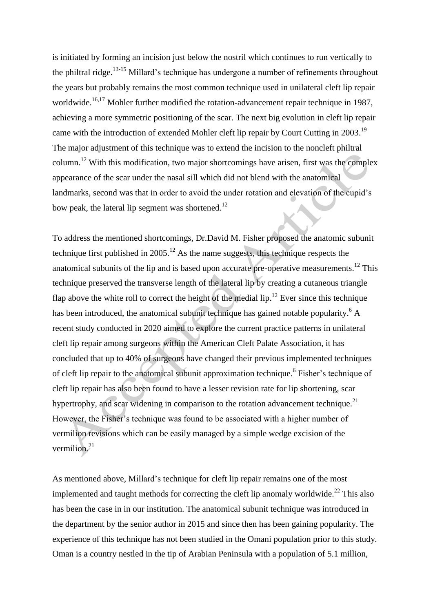is initiated by forming an incision just below the nostril which continues to run vertically to the philtral ridge.<sup>13-15</sup> Millard's technique has undergone a number of refinements throughout the years but probably remains the most common technique used in unilateral cleft lip repair worldwide.<sup>16,17</sup> Mohler further modified the rotation-advancement repair technique in 1987, achieving a more symmetric positioning of the scar. The next big evolution in cleft lip repair came with the introduction of extended Mohler cleft lip repair by Court Cutting in 2003.<sup>19</sup> The major adjustment of this technique was to extend the incision to the noncleft philtral column.<sup>12</sup> With this modification, two major shortcomings have arisen, first was the complex appearance of the scar under the nasal sill which did not blend with the anatomical landmarks, second was that in order to avoid the under rotation and elevation of the cupid's bow peak, the lateral lip segment was shortened.<sup>12</sup>

To address the mentioned shortcomings, Dr.David M. Fisher proposed the anatomic subunit technique first published in  $2005$ .<sup>12</sup> As the name suggests, this technique respects the anatomical subunits of the lip and is based upon accurate pre-operative measurements.<sup>12</sup> This technique preserved the transverse length of the lateral lip by creating a cutaneous triangle flap above the white roll to correct the height of the medial lip.<sup>12</sup> Ever since this technique has been introduced, the anatomical subunit technique has gained notable popularity.<sup>6</sup> A recent study conducted in 2020 aimed to explore the current practice patterns in unilateral cleft lip repair among surgeons within the American Cleft Palate Association, it has concluded that up to 40% of surgeons have changed their previous implemented techniques of cleft lip repair to the anatomical subunit approximation technique. 6 Fisher's technique of cleft lip repair has also been found to have a lesser revision rate for lip shortening, scar hypertrophy, and scar widening in comparison to the rotation advancement technique.<sup>21</sup> However, the Fisher's technique was found to be associated with a higher number of vermilion revisions which can be easily managed by a simple wedge excision of the vermilion. 21

As mentioned above, Millard's technique for cleft lip repair remains one of the most implemented and taught methods for correcting the cleft lip anomaly worldwide.<sup>22</sup> This also has been the case in in our institution. The anatomical subunit technique was introduced in the department by the senior author in 2015 and since then has been gaining popularity. The experience of this technique has not been studied in the Omani population prior to this study. Oman is a country nestled in the tip of Arabian Peninsula with a population of 5.1 million,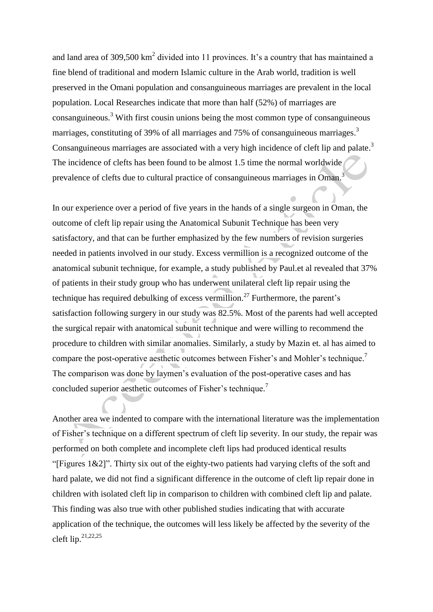and land area of 309,500  $\text{km}^2$  divided into 11 provinces. It's a country that has maintained a fine blend of traditional and modern Islamic culture in the Arab world, tradition is well preserved in the Omani population and consanguineous marriages are prevalent in the local population. Local Researches indicate that more than half (52%) of marriages are consanguineous. <sup>3</sup> With first cousin unions being the most common type of consanguineous marriages, constituting of 39% of all marriages and 75% of consanguineous marriages.<sup>3</sup> Consanguineous marriages are associated with a very high incidence of cleft lip and palate.<sup>3</sup> The incidence of clefts has been found to be almost 1.5 time the normal worldwide prevalence of clefts due to cultural practice of consanguineous marriages in Oman.<sup>3</sup>

In our experience over a period of five years in the hands of a single surgeon in Oman, the outcome of cleft lip repair using the Anatomical Subunit Technique has been very satisfactory, and that can be further emphasized by the few numbers of revision surgeries needed in patients involved in our study. Excess vermillion is a recognized outcome of the anatomical subunit technique, for example, a study published by Paul.et al revealed that 37% of patients in their study group who has underwent unilateral cleft lip repair using the technique has required debulking of excess vermillion.<sup>27</sup> Furthermore, the parent's satisfaction following surgery in our study was 82.5%. Most of the parents had well accepted the surgical repair with anatomical subunit technique and were willing to recommend the procedure to children with similar anomalies. Similarly, a study by Mazin et. al has aimed to compare the post-operative aesthetic outcomes between Fisher's and Mohler's technique.<sup>7</sup> The comparison was done by laymen's evaluation of the post-operative cases and has concluded superior aesthetic outcomes of Fisher's technique.<sup>7</sup>

Another area we indented to compare with the international literature was the implementation of Fisher's technique on a different spectrum of cleft lip severity. In our study, the repair was performed on both complete and incomplete cleft lips had produced identical results "[Figures  $1\&2$ ]". Thirty six out of the eighty-two patients had varying clefts of the soft and hard palate, we did not find a significant difference in the outcome of cleft lip repair done in children with isolated cleft lip in comparison to children with combined cleft lip and palate. This finding was also true with other published studies indicating that with accurate application of the technique, the outcomes will less likely be affected by the severity of the cleft lip. $^{21,22,25}$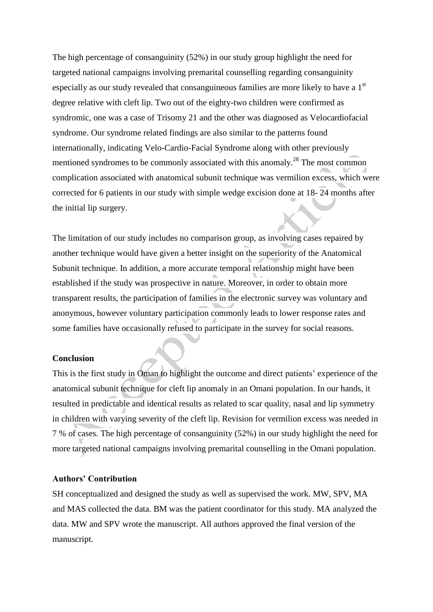The high percentage of consanguinity (52%) in our study group highlight the need for targeted national campaigns involving premarital counselling regarding consanguinity especially as our study revealed that consanguineous families are more likely to have a  $1<sup>st</sup>$ degree relative with cleft lip. Two out of the eighty-two children were confirmed as syndromic, one was a case of Trisomy 21 and the other was diagnosed as Velocardiofacial syndrome. Our syndrome related findings are also similar to the patterns found internationally, indicating Velo-Cardio-Facial Syndrome along with other previously mentioned syndromes to be commonly associated with this anomaly.<sup>28</sup> The most common complication associated with anatomical subunit technique was vermilion excess, which were corrected for 6 patients in our study with simple wedge excision done at 18- 24 months after the initial lip surgery.

The limitation of our study includes no comparison group, as involving cases repaired by another technique would have given a better insight on the superiority of the Anatomical Subunit technique. In addition, a more accurate temporal relationship might have been established if the study was prospective in nature. Moreover, in order to obtain more transparent results, the participation of families in the electronic survey was voluntary and anonymous, however voluntary participation commonly leads to lower response rates and some families have occasionally refused to participate in the survey for social reasons.

#### **Conclusion**

This is the first study in Oman to highlight the outcome and direct patients' experience of the anatomical subunit technique for cleft lip anomaly in an Omani population. In our hands, it resulted in predictable and identical results as related to scar quality, nasal and lip symmetry in children with varying severity of the cleft lip. Revision for vermilion excess was needed in 7 % of cases. The high percentage of consanguinity (52%) in our study highlight the need for more targeted national campaigns involving premarital counselling in the Omani population.

## **Authors' Contribution**

SH conceptualized and designed the study as well as supervised the work. MW, SPV, MA and MAS collected the data. BM was the patient coordinator for this study. MA analyzed the data. MW and SPV wrote the manuscript. All authors approved the final version of the manuscript.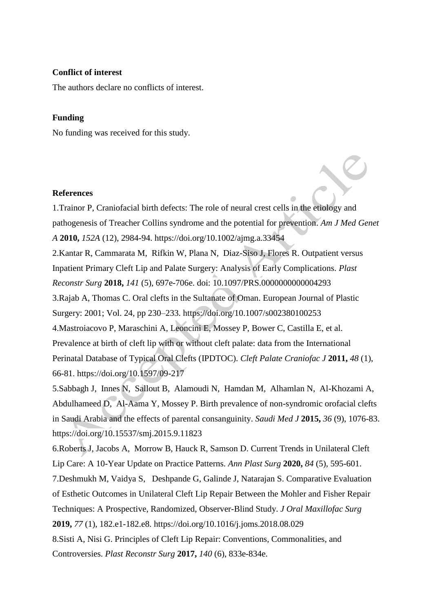#### **Conflict of interest**

The authors declare no conflicts of interest.

### **Funding**

No funding was received for this study.

#### **References**

1.Trainor P, Craniofacial birth defects: The role of neural crest cells in the etiology and pathogenesis of Treacher Collins syndrome and the potential for prevention. *Am J Med Genet A* **2010,** *152A* (12), 2984-94. <https://doi.org/10.1002/ajmg.a.33454> 2.Kantar R, Cammarata M, Rifkin W, Plana N, Diaz-Siso J, Flores R. Outpatient versus Inpatient Primary Cleft Lip and Palate Surgery: Analysis of Early Complications. *Plast Reconstr Surg* **2018,** *141* (5), 697e-706e. doi: 10.1097/PRS.0000000000004293 3.Rajab A, Thomas C. Oral clefts in the Sultanate of Oman. European Journal of Plastic Surgery: 2001; Vol. 24, pp 230–233. <https://doi.org/10.1007/s002380100253> 4.Mastroiacovo P, Maraschini A, Leoncini E, Mossey P, Bower C, Castilla E, et al. Prevalence at birth of cleft lip with or without cleft palate: data from the International Perinatal Database of Typical Oral Clefts (IPDTOC). *Cleft Palate Craniofac J* **2011,** *48* (1), 66-81. [https://doi.org/10.1597/09-217](https://doi.org/10.1597%2F09-217) 5.Sabbagh J, Innes N, Sallout B, Alamoudi N, Hamdan M, Alhamlan N, Al-Khozami A, Abdulhameed D, Al-Aama Y, Mossey P. Birth prevalence of non-syndromic orofacial clefts in Saudi Arabia and the effects of parental consanguinity. *Saudi Med J* **2015,** *36* (9), 1076-83. https://doi.org/10.15537/smj.2015.9.11823 6.Roberts J, Jacobs A, Morrow B, Hauck R, Samson D. Current Trends in Unilateral Cleft Lip Care: A 10-Year Update on Practice Patterns. *Ann Plast Surg* **2020,** *84* (5), 595-601. 7.Deshmukh M, Vaidya S, Deshpande G, Galinde J, Natarajan S. Comparative Evaluation of Esthetic Outcomes in Unilateral Cleft Lip Repair Between the Mohler and Fisher Repair Techniques: A Prospective, Randomized, Observer-Blind Study. *J Oral Maxillofac Surg*  **2019,** *77* (1), 182.e1-182.e8. https://doi.org/10.1016/j.joms.2018.08.029 8.Sisti A, Nisi G. Principles of Cleft Lip Repair: Conventions, Commonalities, and

Controversies. *Plast Reconstr Surg* **2017,** *140* (6), 833e-834e.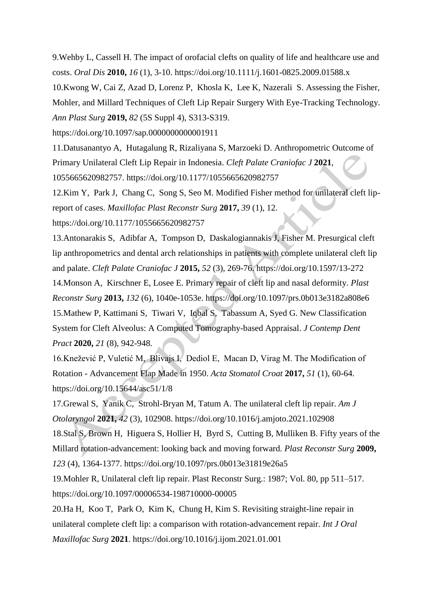9.Wehby L, Cassell H. The impact of orofacial clefts on quality of life and healthcare use and costs. *Oral Dis* **2010,** *16* (1), 3-10. https://doi.org/10.1111/j.1601-0825.2009.01588.x

10.Kwong W, Cai Z, Azad D, Lorenz P, Khosla K, Lee K, Nazerali S. Assessing the Fisher, Mohler, and Millard Techniques of Cleft Lip Repair Surgery With Eye-Tracking Technology. *Ann Plast Surg* **2019,** *82* (5S Suppl 4), S313-S319.

https://doi.org/10.1097/sap.0000000000001911

11.Datusanantyo A, Hutagalung R, Rizaliyana S, Marzoeki D. Anthropometric Outcome of Primary Unilateral Cleft Lip Repair in Indonesia. *Cleft Palate Craniofac J* **2021**, 1055665620982757. https://doi.org/10.1177/1055665620982757

12.Kim Y, Park J, Chang C, Song S, Seo M. Modified Fisher method for unilateral cleft lipreport of cases. *Maxillofac Plast Reconstr Surg* **2017,** *39* (1), 12. [https://doi.org/10.1177/1055665620982757](https://doi.org/10.1177%2F1055665620982757)

13.Antonarakis S, Adibfar A, Tompson D, Daskalogiannakis J, Fisher M. Presurgical cleft lip anthropometrics and dental arch relationships in patients with complete unilateral cleft lip and palate. *Cleft Palate Craniofac J* **2015,** *52* (3), 269-76. https://doi.org/10.1597/13-272

14.Monson A, Kirschner E, Losee E. Primary repair of cleft lip and nasal deformity. *Plast Reconstr Surg* **2013,** *132* (6), 1040e-1053e. https://doi.org/10.1097/prs.0b013e3182a808e6 15.Mathew P, Kattimani S, Tiwari V, Iqbal S, Tabassum A, Syed G. New Classification System for Cleft Alveolus: A Computed Tomography-based Appraisal. *J Contemp Dent Pract* **2020,** *21* (8), 942-948.

16.Knežević P, Vuletić M, Blivajs I, Dediol E, Macan D, Virag M. The Modification of Rotation - Advancement Flap Made in 1950. *Acta Stomatol Croat* **2017,** *51* (1), 60-64. https://doi.org/10.15644/asc51/1/8

17.Grewal S, Yanik C, Strohl-Bryan M, Tatum A. The unilateral cleft lip repair. *Am J Otolaryngol* **2021,** *42* (3), 102908. https://doi.org/10.1016/j.amjoto.2021.102908 18.Stal S, Brown H, Higuera S, Hollier H, Byrd S, Cutting B, Mulliken B. Fifty years of the Millard rotation-advancement: looking back and moving forward. *Plast Reconstr Surg* **2009,**

*123* (4), 1364-1377. https://doi.org/10.1097/prs.0b013e31819e26a5

19.Mohler R, Unilateral cleft lip repair. Plast Reconstr Surg.: 1987; Vol. 80, pp 511–517. https://doi.org/10.1097/00006534-198710000-00005

20.Ha H, Koo T, Park O, Kim K, Chung H, Kim S. Revisiting straight-line repair in unilateral complete cleft lip: a comparison with rotation-advancement repair. *Int J Oral Maxillofac Surg* **2021**. https://doi.org/10.1016/j.ijom.2021.01.001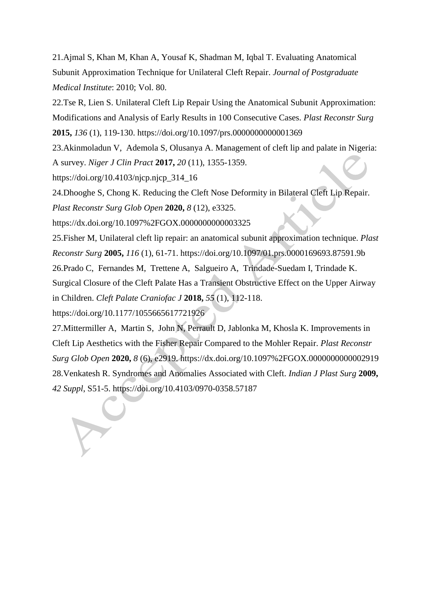21.Ajmal S, Khan M, Khan A, Yousaf K, Shadman M, Iqbal T. Evaluating Anatomical Subunit Approximation Technique for Unilateral Cleft Repair. *Journal of Postgraduate Medical Institute*: 2010; Vol. 80.

22.Tse R, Lien S. Unilateral Cleft Lip Repair Using the Anatomical Subunit Approximation: Modifications and Analysis of Early Results in 100 Consecutive Cases. *Plast Reconstr Surg*  **2015,** *136* (1), 119-130. https://doi.org/10.1097/prs.0000000000001369

23.Akinmoladun V, Ademola S, Olusanya A. Management of cleft lip and palate in Nigeria: A survey. *Niger J Clin Pract* **2017,** *20* (11), 1355-1359.

https://doi.org/10.4103/njcp.njcp\_314\_16

24.Dhooghe S, Chong K. Reducing the Cleft Nose Deformity in Bilateral Cleft Lip Repair.

*Plast Reconstr Surg Glob Open* **2020,** *8* (12), e3325.

https://dx.doi.org/10.1097%2FGOX.0000000000003325

25.Fisher M, Unilateral cleft lip repair: an anatomical subunit approximation technique. *Plast Reconstr Surg* **2005,** *116* (1), 61-71. https://doi.org/10.1097/01.prs.0000169693.87591.9b 26.Prado C, Fernandes M, Trettene A, Salgueiro A, Trindade-Suedam I, Trindade K. Surgical Closure of the Cleft Palate Has a Transient Obstructive Effect on the Upper Airway in Children. *Cleft Palate Craniofac J* **2018,** *55* (1), 112-118.

[https://doi.org/10.1177/1055665617721926](https://doi.org/10.1177%2F1055665617721926)

27.Mittermiller A, Martin S, John N, Perrault D, Jablonka M, Khosla K. Improvements in Cleft Lip Aesthetics with the Fisher Repair Compared to the Mohler Repair. *Plast Reconstr Surg Glob Open* **2020,** *8* (6), e2919. https://dx.doi.org/10.1097%2FGOX.0000000000002919 28.Venkatesh R. Syndromes and Anomalies Associated with Cleft. *Indian J Plast Surg* **2009,** *42 Suppl*, S51-5. https://doi.org/10.4103/0970-0358.57187